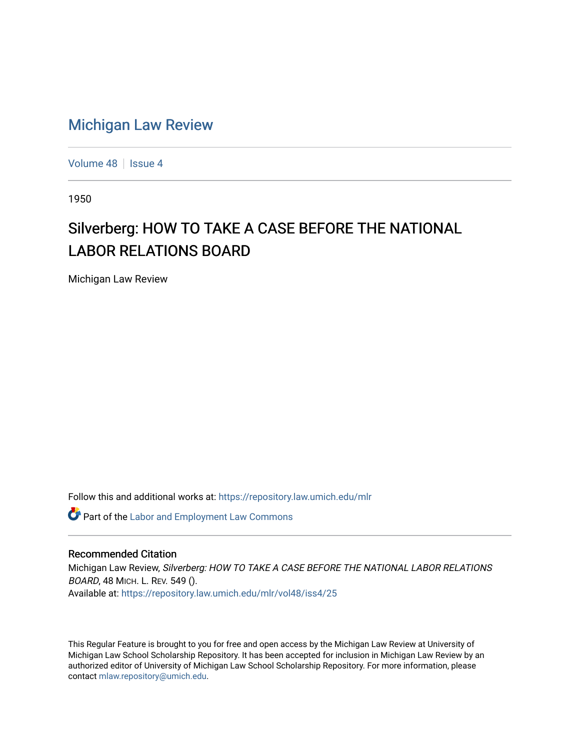## [Michigan Law Review](https://repository.law.umich.edu/mlr)

[Volume 48](https://repository.law.umich.edu/mlr/vol48) | [Issue 4](https://repository.law.umich.edu/mlr/vol48/iss4)

1950

# Silverberg: HOW TO TAKE A CASE BEFORE THE NATIONAL LABOR RELATIONS BOARD

Michigan Law Review

Follow this and additional works at: [https://repository.law.umich.edu/mlr](https://repository.law.umich.edu/mlr?utm_source=repository.law.umich.edu%2Fmlr%2Fvol48%2Fiss4%2F25&utm_medium=PDF&utm_campaign=PDFCoverPages) 

**Part of the [Labor and Employment Law Commons](http://network.bepress.com/hgg/discipline/909?utm_source=repository.law.umich.edu%2Fmlr%2Fvol48%2Fiss4%2F25&utm_medium=PDF&utm_campaign=PDFCoverPages)** 

#### Recommended Citation

Michigan Law Review, Silverberg: HOW TO TAKE A CASE BEFORE THE NATIONAL LABOR RELATIONS BOARD, 48 MICH. L. REV. 549 (). Available at: [https://repository.law.umich.edu/mlr/vol48/iss4/25](https://repository.law.umich.edu/mlr/vol48/iss4/25?utm_source=repository.law.umich.edu%2Fmlr%2Fvol48%2Fiss4%2F25&utm_medium=PDF&utm_campaign=PDFCoverPages) 

This Regular Feature is brought to you for free and open access by the Michigan Law Review at University of Michigan Law School Scholarship Repository. It has been accepted for inclusion in Michigan Law Review by an authorized editor of University of Michigan Law School Scholarship Repository. For more information, please contact [mlaw.repository@umich.edu](mailto:mlaw.repository@umich.edu).